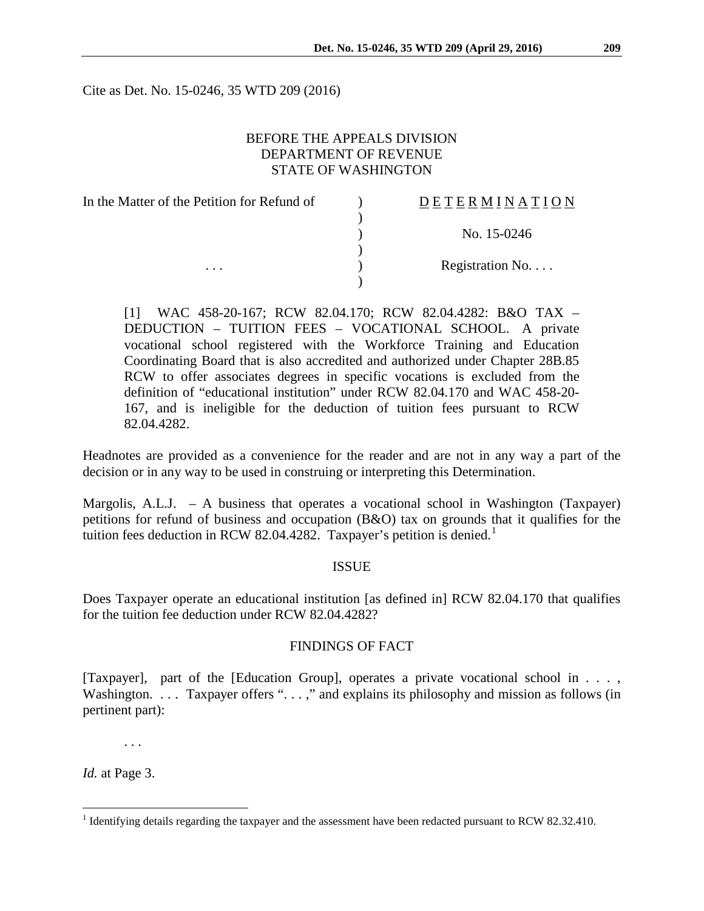Cite as Det. No. 15-0246, 35 WTD 209 (2016)

## BEFORE THE APPEALS DIVISION DEPARTMENT OF REVENUE STATE OF WASHINGTON

| In the Matter of the Petition for Refund of | DETERMINATION   |
|---------------------------------------------|-----------------|
|                                             |                 |
|                                             | No. 15-0246     |
|                                             |                 |
| $\cdots$                                    | Registration No |
|                                             |                 |

[1] WAC 458-20-167; RCW 82.04.170; RCW 82.04.4282: B&O TAX – DEDUCTION – TUITION FEES – VOCATIONAL SCHOOL. A private vocational school registered with the Workforce Training and Education Coordinating Board that is also accredited and authorized under Chapter 28B.85 RCW to offer associates degrees in specific vocations is excluded from the definition of "educational institution" under RCW 82.04.170 and WAC 458-20- 167, and is ineligible for the deduction of tuition fees pursuant to RCW 82.04.4282.

Headnotes are provided as a convenience for the reader and are not in any way a part of the decision or in any way to be used in construing or interpreting this Determination.

Margolis, A.L.J. – A business that operates a vocational school in Washington (Taxpayer) petitions for refund of business and occupation (B&O) tax on grounds that it qualifies for the tuition fees deduction in RCW 82.04.4282. Taxpayer's petition is denied.<sup>[1](#page-0-0)</sup>

### ISSUE

Does Taxpayer operate an educational institution [as defined in] RCW 82.04.170 that qualifies for the tuition fee deduction under RCW 82.04.4282?

### FINDINGS OF FACT

[Taxpayer], part of the [Education Group], operates a private vocational school in . . . , Washington. . . . Taxpayer offers ". . . ," and explains its philosophy and mission as follows (in pertinent part):

. . .

*Id.* at Page 3.

<span id="page-0-0"></span><sup>&</sup>lt;sup>1</sup> Identifying details regarding the taxpayer and the assessment have been redacted pursuant to RCW 82.32.410.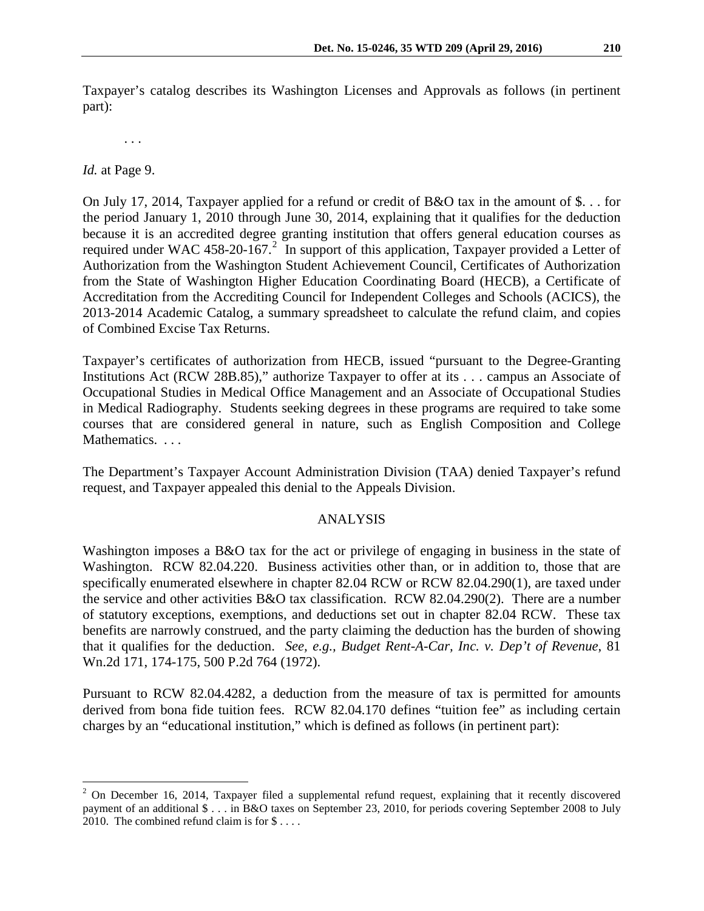Taxpayer's catalog describes its Washington Licenses and Approvals as follows (in pertinent part):

. . .

*Id.* at Page 9.

On July 17, 2014, Taxpayer applied for a refund or credit of B&O tax in the amount of \$. . . for the period January 1, 2010 through June 30, 2014, explaining that it qualifies for the deduction because it is an accredited degree granting institution that offers general education courses as required under WAC 458-[2](#page-1-0)0-167.<sup>2</sup> In support of this application, Taxpayer provided a Letter of Authorization from the Washington Student Achievement Council, Certificates of Authorization from the State of Washington Higher Education Coordinating Board (HECB), a Certificate of Accreditation from the Accrediting Council for Independent Colleges and Schools (ACICS), the 2013-2014 Academic Catalog, a summary spreadsheet to calculate the refund claim, and copies of Combined Excise Tax Returns.

Taxpayer's certificates of authorization from HECB, issued "pursuant to the Degree-Granting Institutions Act (RCW 28B.85)," authorize Taxpayer to offer at its . . . campus an Associate of Occupational Studies in Medical Office Management and an Associate of Occupational Studies in Medical Radiography. Students seeking degrees in these programs are required to take some courses that are considered general in nature, such as English Composition and College Mathematics. *. . .*

The Department's Taxpayer Account Administration Division (TAA) denied Taxpayer's refund request, and Taxpayer appealed this denial to the Appeals Division.

### ANALYSIS

Washington imposes a B&O tax for the act or privilege of engaging in business in the state of Washington. RCW 82.04.220. Business activities other than, or in addition to, those that are specifically enumerated elsewhere in chapter 82.04 RCW or RCW 82.04.290(1), are taxed under the service and other activities B&O tax classification. RCW 82.04.290(2). There are a number of statutory exceptions, exemptions, and deductions set out in chapter 82.04 RCW. These tax benefits are narrowly construed, and the party claiming the deduction has the burden of showing that it qualifies for the deduction. *See, e.g., Budget Rent-A-Car, Inc. v. Dep't of Revenue*, 81 Wn.2d 171, 174-175, 500 P.2d 764 (1972).

Pursuant to RCW 82.04.4282, a deduction from the measure of tax is permitted for amounts derived from bona fide tuition fees. RCW 82.04.170 defines "tuition fee" as including certain charges by an "educational institution," which is defined as follows (in pertinent part):

<span id="page-1-0"></span><sup>&</sup>lt;sup>2</sup> On December 16, 2014, Taxpayer filed a supplemental refund request, explaining that it recently discovered payment of an additional \$ . . . in B&O taxes on September 23, 2010, for periods covering September 2008 to July 2010. The combined refund claim is for \$ . . . .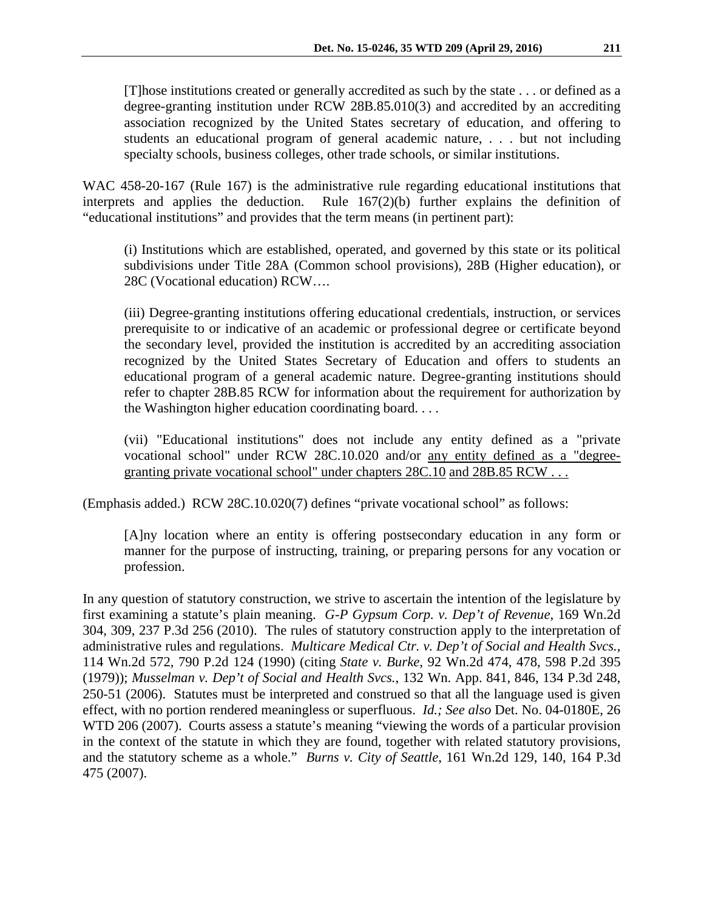[T]hose institutions created or generally accredited as such by the state . . . or defined as a degree-granting institution under RCW 28B.85.010(3) and accredited by an accrediting association recognized by the United States secretary of education, and offering to students an educational program of general academic nature, . . . but not including specialty schools, business colleges, other trade schools, or similar institutions.

WAC 458-20-167 (Rule 167) is the administrative rule regarding educational institutions that interprets and applies the deduction. Rule 167(2)(b) further explains the definition of "educational institutions" and provides that the term means (in pertinent part):

(i) Institutions which are established, operated, and governed by this state or its political subdivisions under Title 28A (Common school provisions), 28B (Higher education), or 28C (Vocational education) RCW….

(iii) Degree-granting institutions offering educational credentials, instruction, or services prerequisite to or indicative of an academic or professional degree or certificate beyond the secondary level, provided the institution is accredited by an accrediting association recognized by the United States Secretary of Education and offers to students an educational program of a general academic nature. Degree-granting institutions should refer to chapter [28B.85](http://app.leg.wa.gov/RCW/default.aspx?cite=28B.85) RCW for information about the requirement for authorization by the Washington higher education coordinating board. . . .

(vii) "Educational institutions" does not include any entity defined as a "private vocational school" under RCW [28C.10.020](http://app.leg.wa.gov/RCW/default.aspx?cite=28C.10.020) and/or any entity defined as a "degree-granting private vocational school" under chapters [28C.10](http://app.leg.wa.gov/RCW/default.aspx?cite=28C.10) and [28B.85](http://app.leg.wa.gov/RCW/default.aspx?cite=28B.85) RCW ...

(Emphasis added.) RCW 28C.10.020(7) defines "private vocational school" as follows:

[A]ny location where an entity is offering postsecondary education in any form or manner for the purpose of instructing, training, or preparing persons for any vocation or profession.

In any question of statutory construction, we strive to ascertain the intention of the legislature by first examining a statute's plain meaning. *G-P Gypsum Corp. v. Dep't of Revenue*, 169 Wn.2d 304, 309, 237 P.3d 256 (2010). The rules of statutory construction apply to the interpretation of administrative rules and regulations. *Multicare Medical Ctr. v. Dep't of Social and Health Svcs.*, 114 Wn.2d 572, 790 P.2d 124 (1990) (citing *State v. Burke*, 92 Wn.2d 474, 478, 598 P.2d 395 (1979)); *Musselman v. Dep't of Social and Health Svcs.*, 132 Wn. App. 841, 846, 134 P.3d 248, 250-51 (2006). Statutes must be interpreted and construed so that all the language used is given effect, with no portion rendered meaningless or superfluous. *Id.; See also* Det. No. 04-0180E, 26 WTD 206 (2007). Courts assess a statute's meaning "viewing the words of a particular provision in the context of the statute in which they are found, together with related statutory provisions, and the statutory scheme as a whole." *Burns v. City of Seattle*, 161 Wn.2d 129, 140, 164 P.3d 475 (2007).